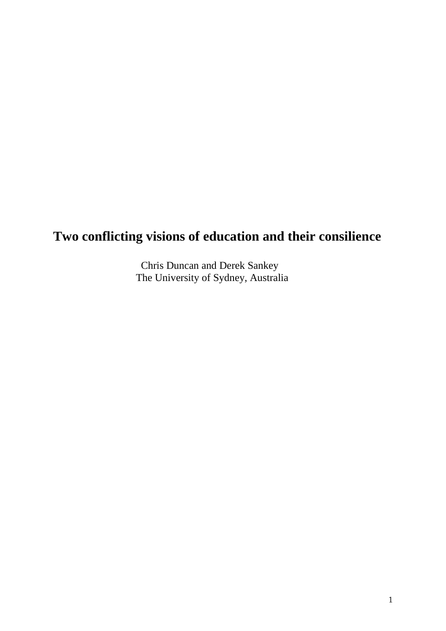# **Two conflicting visions of education and their consilience**

Chris Duncan and Derek Sankey The University of Sydney, Australia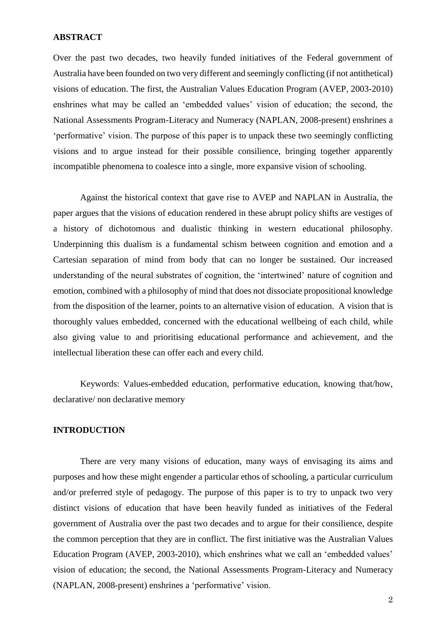#### **ABSTRACT**

Over the past two decades, two heavily funded initiatives of the Federal government of Australia have been founded on two very different and seemingly conflicting (if not antithetical) visions of education. The first, the Australian Values Education Program (AVEP, 2003-2010) enshrines what may be called an 'embedded values' vision of education; the second, the National Assessments Program-Literacy and Numeracy (NAPLAN, 2008-present) enshrines a 'performative' vision. The purpose of this paper is to unpack these two seemingly conflicting visions and to argue instead for their possible consilience, bringing together apparently incompatible phenomena to coalesce into a single, more expansive vision of schooling.

Against the historical context that gave rise to AVEP and NAPLAN in Australia, the paper argues that the visions of education rendered in these abrupt policy shifts are vestiges of a history of dichotomous and dualistic thinking in western educational philosophy. Underpinning this dualism is a fundamental schism between cognition and emotion and a Cartesian separation of mind from body that can no longer be sustained. Our increased understanding of the neural substrates of cognition, the 'intertwined' nature of cognition and emotion, combined with a philosophy of mind that does not dissociate propositional knowledge from the disposition of the learner, points to an alternative vision of education. A vision that is thoroughly values embedded, concerned with the educational wellbeing of each child, while also giving value to and prioritising educational performance and achievement, and the intellectual liberation these can offer each and every child.

Keywords: Values-embedded education, performative education, knowing that/how, declarative/ non declarative memory

#### **INTRODUCTION**

There are very many visions of education, many ways of envisaging its aims and purposes and how these might engender a particular ethos of schooling, a particular curriculum and/or preferred style of pedagogy. The purpose of this paper is to try to unpack two very distinct visions of education that have been heavily funded as initiatives of the Federal government of Australia over the past two decades and to argue for their consilience, despite the common perception that they are in conflict. The first initiative was the Australian Values Education Program (AVEP, 2003-2010), which enshrines what we call an 'embedded values' vision of education; the second, the National Assessments Program-Literacy and Numeracy (NAPLAN, 2008-present) enshrines a 'performative' vision.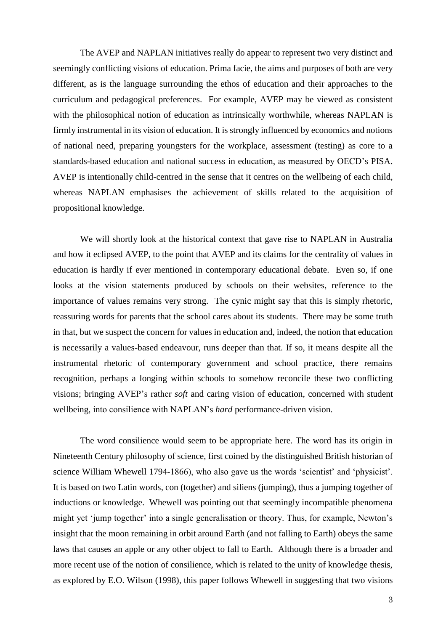The AVEP and NAPLAN initiatives really do appear to represent two very distinct and seemingly conflicting visions of education. Prima facie, the aims and purposes of both are very different, as is the language surrounding the ethos of education and their approaches to the curriculum and pedagogical preferences. For example, AVEP may be viewed as consistent with the philosophical notion of education as intrinsically worthwhile, whereas NAPLAN is firmly instrumental in its vision of education. It is strongly influenced by economics and notions of national need, preparing youngsters for the workplace, assessment (testing) as core to a standards-based education and national success in education, as measured by OECD's PISA. AVEP is intentionally child-centred in the sense that it centres on the wellbeing of each child, whereas NAPLAN emphasises the achievement of skills related to the acquisition of propositional knowledge.

We will shortly look at the historical context that gave rise to NAPLAN in Australia and how it eclipsed AVEP, to the point that AVEP and its claims for the centrality of values in education is hardly if ever mentioned in contemporary educational debate. Even so, if one looks at the vision statements produced by schools on their websites, reference to the importance of values remains very strong. The cynic might say that this is simply rhetoric, reassuring words for parents that the school cares about its students. There may be some truth in that, but we suspect the concern for values in education and, indeed, the notion that education is necessarily a values-based endeavour, runs deeper than that. If so, it means despite all the instrumental rhetoric of contemporary government and school practice, there remains recognition, perhaps a longing within schools to somehow reconcile these two conflicting visions; bringing AVEP's rather *soft* and caring vision of education, concerned with student wellbeing, into consilience with NAPLAN's *hard* performance-driven vision.

The word consilience would seem to be appropriate here. The word has its origin in Nineteenth Century philosophy of science, first coined by the distinguished British historian of science William Whewell 1794-1866), who also gave us the words 'scientist' and 'physicist'. It is based on two Latin words, con (together) and siliens (jumping), thus a jumping together of inductions or knowledge. Whewell was pointing out that seemingly incompatible phenomena might yet 'jump together' into a single generalisation or theory. Thus, for example, Newton's insight that the moon remaining in orbit around Earth (and not falling to Earth) obeys the same laws that causes an apple or any other object to fall to Earth. Although there is a broader and more recent use of the notion of consilience, which is related to the unity of knowledge thesis, as explored by E.O. Wilson (1998), this paper follows Whewell in suggesting that two visions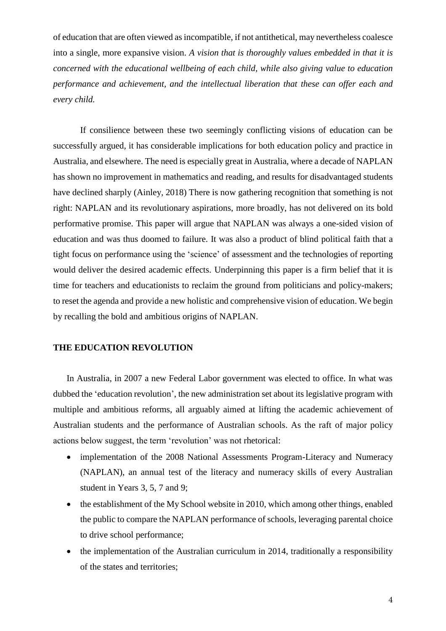of education that are often viewed as incompatible, if not antithetical, may nevertheless coalesce into a single, more expansive vision. *A vision that is thoroughly values embedded in that it is concerned with the educational wellbeing of each child, while also giving value to education performance and achievement, and the intellectual liberation that these can offer each and every child.* 

If consilience between these two seemingly conflicting visions of education can be successfully argued, it has considerable implications for both education policy and practice in Australia, and elsewhere. The need is especially great in Australia, where a decade of NAPLAN has shown no improvement in mathematics and reading, and results for disadvantaged students have declined sharply (Ainley, 2018) There is now gathering recognition that something is not right: NAPLAN and its revolutionary aspirations, more broadly, has not delivered on its bold performative promise. This paper will argue that NAPLAN was always a one-sided vision of education and was thus doomed to failure. It was also a product of blind political faith that a tight focus on performance using the 'science' of assessment and the technologies of reporting would deliver the desired academic effects. Underpinning this paper is a firm belief that it is time for teachers and educationists to reclaim the ground from politicians and policy-makers; to reset the agenda and provide a new holistic and comprehensive vision of education. We begin by recalling the bold and ambitious origins of NAPLAN.

#### **THE EDUCATION REVOLUTION**

In Australia, in 2007 a new Federal Labor government was elected to office. In what was dubbed the 'education revolution', the new administration set about its legislative program with multiple and ambitious reforms, all arguably aimed at lifting the academic achievement of Australian students and the performance of Australian schools. As the raft of major policy actions below suggest, the term 'revolution' was not rhetorical:

- implementation of the 2008 National Assessments Program-Literacy and Numeracy (NAPLAN), an annual test of the literacy and numeracy skills of every Australian student in Years 3, 5, 7 and 9;
- the establishment of the My School website in 2010, which among other things, enabled the public to compare the NAPLAN performance of schools, leveraging parental choice to drive school performance;
- the implementation of the Australian curriculum in 2014, traditionally a responsibility of the states and territories;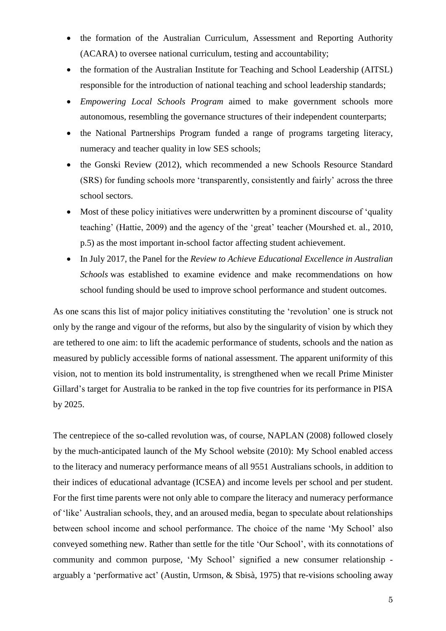- the formation of the Australian Curriculum, Assessment and Reporting Authority (ACARA) to oversee national curriculum, testing and accountability;
- the formation of the Australian Institute for Teaching and School Leadership (AITSL) responsible for the introduction of national teaching and school leadership standards;
- *Empowering Local Schools Program* aimed to make government schools more autonomous, resembling the governance structures of their independent counterparts;
- the National Partnerships Program funded a range of programs targeting literacy, numeracy and teacher quality in low SES schools;
- the Gonski Review (2012), which recommended a new Schools Resource Standard (SRS) for funding schools more 'transparently, consistently and fairly' across the three school sectors.
- Most of these policy initiatives were underwritten by a prominent discourse of 'quality' teaching' (Hattie, 2009) and the agency of the 'great' teacher (Mourshed et. al., 2010, p.5) as the most important in-school factor affecting student achievement.
- In July 2017, the Panel for the *Review to Achieve Educational Excellence in Australian Schools* was established to examine evidence and make recommendations on how school funding should be used to improve school performance and student outcomes.

As one scans this list of major policy initiatives constituting the 'revolution' one is struck not only by the range and vigour of the reforms, but also by the singularity of vision by which they are tethered to one aim: to lift the academic performance of students, schools and the nation as measured by publicly accessible forms of national assessment. The apparent uniformity of this vision, not to mention its bold instrumentality, is strengthened when we recall Prime Minister Gillard's target for Australia to be ranked in the top five countries for its performance in PISA by 2025.

The centrepiece of the so-called revolution was, of course, NAPLAN (2008) followed closely by the much-anticipated launch of the My School website (2010): My School enabled access to the literacy and numeracy performance means of all 9551 Australians schools, in addition to their indices of educational advantage (ICSEA) and income levels per school and per student. For the first time parents were not only able to compare the literacy and numeracy performance of 'like' Australian schools, they, and an aroused media, began to speculate about relationships between school income and school performance. The choice of the name 'My School' also conveyed something new. Rather than settle for the title 'Our School', with its connotations of community and common purpose, 'My School' signified a new consumer relationship arguably a 'performative act' (Austin, Urmson, & Sbisà, 1975) that re-visions schooling away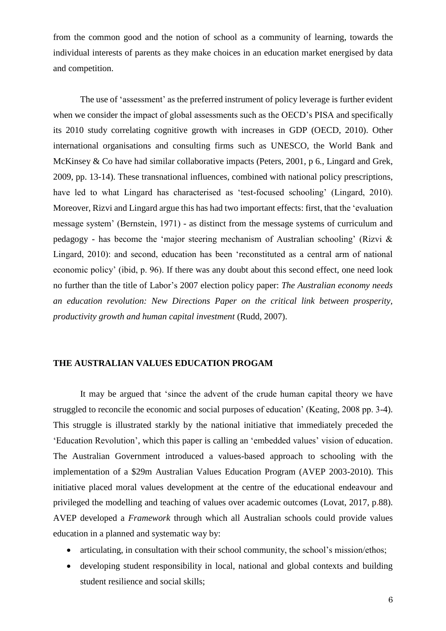from the common good and the notion of school as a community of learning, towards the individual interests of parents as they make choices in an education market energised by data and competition.

The use of 'assessment' as the preferred instrument of policy leverage is further evident when we consider the impact of global assessments such as the OECD's PISA and specifically its 2010 study correlating cognitive growth with increases in GDP (OECD, 2010). Other international organisations and consulting firms such as UNESCO, the World Bank and McKinsey & Co have had similar collaborative impacts (Peters, 2001, p 6., Lingard and Grek, 2009, pp. 13-14). These transnational influences, combined with national policy prescriptions, have led to what Lingard has characterised as 'test-focused schooling' (Lingard, 2010). Moreover, Rizvi and Lingard argue this has had two important effects: first, that the 'evaluation message system' (Bernstein, 1971) - as distinct from the message systems of curriculum and pedagogy - has become the 'major steering mechanism of Australian schooling' (Rizvi & Lingard, 2010): and second, education has been 'reconstituted as a central arm of national economic policy' (ibid, p. 96). If there was any doubt about this second effect, one need look no further than the title of Labor's 2007 election policy paper: *The Australian economy needs an education revolution: New Directions Paper on the critical link between prosperity, productivity growth and human capital investment* (Rudd, 2007).

#### **THE AUSTRALIAN VALUES EDUCATION PROGAM**

It may be argued that 'since the advent of the crude human capital theory we have struggled to reconcile the economic and social purposes of education' (Keating, 2008 pp. 3-4). This struggle is illustrated starkly by the national initiative that immediately preceded the 'Education Revolution', which this paper is calling an 'embedded values' vision of education. The Australian Government introduced a values-based approach to schooling with the implementation of a \$29m Australian Values Education Program (AVEP 2003-2010). This initiative placed moral values development at the centre of the educational endeavour and privileged the modelling and teaching of values over academic outcomes (Lovat, 2017, p.88). AVEP developed a *Framework* through which all Australian schools could provide values education in a planned and systematic way by:

- articulating, in consultation with their school community, the school's mission/ethos;
- developing student responsibility in local, national and global contexts and building student resilience and social skills;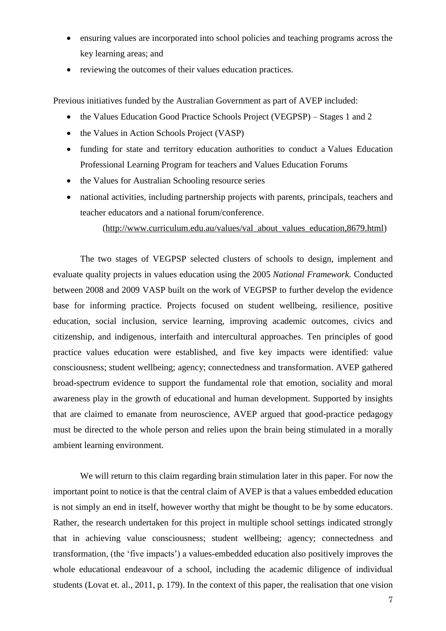- ensuring values are incorporated into school policies and teaching programs across the key learning areas; and
- reviewing the outcomes of their values education practices.

Previous initiatives funded by the Australian Government as part of AVEP included:

- the [Values Education Good Practice Schools Project \(VEGPSP\) –](http://www.curriculum.edu.au/values/val_vegps_1_and_2,8877.html) Stages 1 and 2
- the [Values in Action Schools Project](http://www.curriculum.edu.au/values/val_vasp_about,25452.html) (VASP)
- funding for state and territory education authorities to conduct a Values Education [Professional Learning Program for teachers and Values Education Forums](http://www.curriculum.edu.au/values/val_professional_learning_program,29281.html)
- the [Values for Australian Schooling resource series](http://www.curriculum.edu.au/values/about_values_for_australian_schooling_resources,33493.html)
- national activities, including [partnership projects](http://www.curriculum.edu.au/values/val_partnership_projects,8752.html) with parents, principals, teachers and teacher educators and a [national forum/conference.](http://www.curriculum.edu.au/values/val_national_values_education_forumconf,33490.html)

## [\(http://www.curriculum.edu.au/values/val\\_about\\_values\\_education,8679.html\)](http://www.curriculum.edu.au/values/val_about_values_education,8679.html)

The two stages of VEGPSP selected clusters of schools to design, implement and evaluate quality projects in values education using the 2005 *National Framework.* Conducted between 2008 and 2009 VASP built on the work of VEGPSP to further develop the evidence base for informing practice. Projects focused on student wellbeing, resilience, positive education, social inclusion, service learning, improving academic outcomes, civics and citizenship, and indigenous, interfaith and intercultural approaches. Ten principles of good practice values education were established, and five key impacts were identified: value consciousness; student wellbeing; agency; connectedness and transformation. AVEP gathered broad-spectrum evidence to support the fundamental role that emotion, sociality and moral awareness play in the growth of educational and human development. Supported by insights that are claimed to emanate from neuroscience, AVEP argued that good-practice pedagogy must be directed to the whole person and relies upon the brain being stimulated in a morally ambient learning environment.

We will return to this claim regarding brain stimulation later in this paper. For now the important point to notice is that the central claim of AVEP is that a values embedded education is not simply an end in itself, however worthy that might be thought to be by some educators. Rather, the research undertaken for this project in multiple school settings indicated strongly that in achieving value consciousness; student wellbeing; agency; connectedness and transformation, (the 'five impacts') a values-embedded education also positively improves the whole educational endeavour of a school, including the academic diligence of individual students (Lovat et. al., 2011, p. 179). In the context of this paper, the realisation that one vision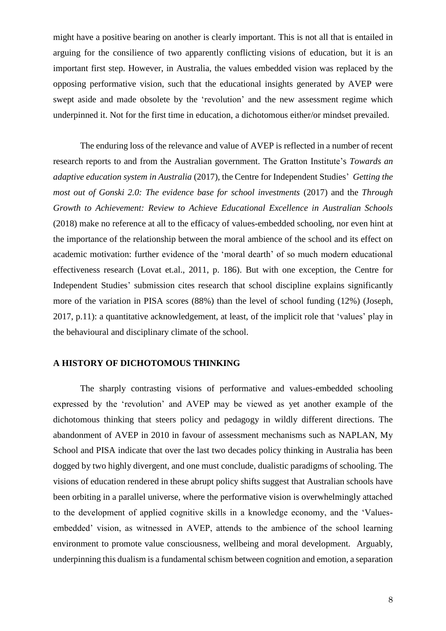might have a positive bearing on another is clearly important. This is not all that is entailed in arguing for the consilience of two apparently conflicting visions of education, but it is an important first step. However, in Australia, the values embedded vision was replaced by the opposing performative vision, such that the educational insights generated by AVEP were swept aside and made obsolete by the 'revolution' and the new assessment regime which underpinned it. Not for the first time in education, a dichotomous either/or mindset prevailed.

The enduring loss of the relevance and value of AVEP is reflected in a number of recent research reports to and from the Australian government. The Gratton Institute's *Towards an adaptive education system in Australia* (2017), the Centre for Independent Studies' *Getting the most out of Gonski 2.0: The evidence base for school investments* (2017) and the *Through Growth to Achievement: Review to Achieve Educational Excellence in Australian Schools* (2018) make no reference at all to the efficacy of values-embedded schooling, nor even hint at the importance of the relationship between the moral ambience of the school and its effect on academic motivation: further evidence of the 'moral dearth' of so much modern educational effectiveness research (Lovat et.al., 2011, p. 186). But with one exception, the Centre for Independent Studies' submission cites research that school discipline explains significantly more of the variation in PISA scores (88%) than the level of school funding (12%) (Joseph, 2017, p.11): a quantitative acknowledgement, at least, of the implicit role that 'values' play in the behavioural and disciplinary climate of the school.

## **A HISTORY OF DICHOTOMOUS THINKING**

The sharply contrasting visions of performative and values-embedded schooling expressed by the 'revolution' and AVEP may be viewed as yet another example of the dichotomous thinking that steers policy and pedagogy in wildly different directions. The abandonment of AVEP in 2010 in favour of assessment mechanisms such as NAPLAN, My School and PISA indicate that over the last two decades policy thinking in Australia has been dogged by two highly divergent, and one must conclude, dualistic paradigms of schooling. The visions of education rendered in these abrupt policy shifts suggest that Australian schools have been orbiting in a parallel universe, where the performative vision is overwhelmingly attached to the development of applied cognitive skills in a knowledge economy, and the 'Valuesembedded' vision, as witnessed in AVEP, attends to the ambience of the school learning environment to promote value consciousness, wellbeing and moral development. Arguably, underpinning this dualism is a fundamental schism between cognition and emotion, a separation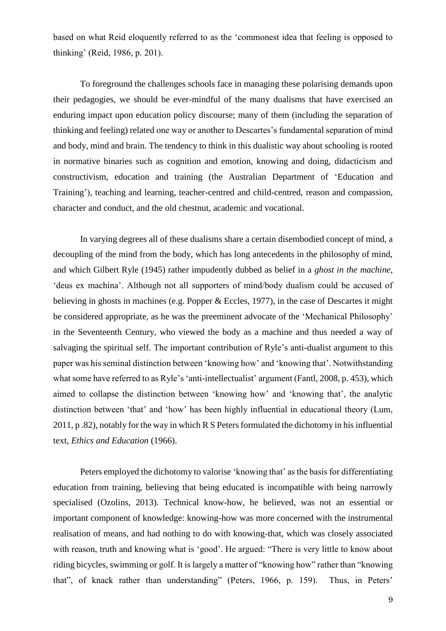based on what Reid eloquently referred to as the 'commonest idea that feeling is opposed to thinking' (Reid, 1986, p. 201).

To foreground the challenges schools face in managing these polarising demands upon their pedagogies, we should be ever-mindful of the many dualisms that have exercised an enduring impact upon education policy discourse; many of them (including the separation of thinking and feeling) related one way or another to Descartes's fundamental separation of mind and body, mind and brain. The tendency to think in this dualistic way about schooling is rooted in normative binaries such as cognition and emotion, knowing and doing, didacticism and constructivism, education and training (the Australian Department of 'Education and Training'), teaching and learning, teacher-centred and child-centred, reason and compassion, character and conduct, and the old chestnut, academic and vocational.

In varying degrees all of these dualisms share a certain disembodied concept of mind, a decoupling of the mind from the body, which has long antecedents in the philosophy of mind, and which Gilbert Ryle (1945) rather impudently dubbed as belief in a *ghost in the machine*, 'deus ex machina'. Although not all supporters of mind/body dualism could be accused of believing in ghosts in machines (e.g. Popper & Eccles, 1977), in the case of Descartes it might be considered appropriate, as he was the preeminent advocate of the 'Mechanical Philosophy' in the Seventeenth Century, who viewed the body as a machine and thus needed a way of salvaging the spiritual self. The important contribution of Ryle's anti-dualist argument to this paper was his seminal distinction between 'knowing how' and 'knowing that'. Notwithstanding what some have referred to as Ryle's 'anti-intellectualist' argument (Fantl, 2008, p. 453), which aimed to collapse the distinction between 'knowing how' and 'knowing that', the analytic distinction between 'that' and 'how' has been highly influential in educational theory (Lum, 2011, p .82), notably for the way in which R S Peters formulated the dichotomy in his influential text, *Ethics and Education* (1966).

Peters employed the dichotomy to valorise 'knowing that' as the basis for differentiating education from training, believing that being educated is incompatible with being narrowly specialised (Ozolins, 2013). Technical know-how, he believed, was not an essential or important component of knowledge: knowing-how was more concerned with the instrumental realisation of means, and had nothing to do with knowing-that, which was closely associated with reason, truth and knowing what is 'good'. He argued: "There is very little to know about riding bicycles, swimming or golf. It is largely a matter of "knowing how" rather than "knowing that", of knack rather than understanding" (Peters, 1966, p. 159). Thus, in Peters'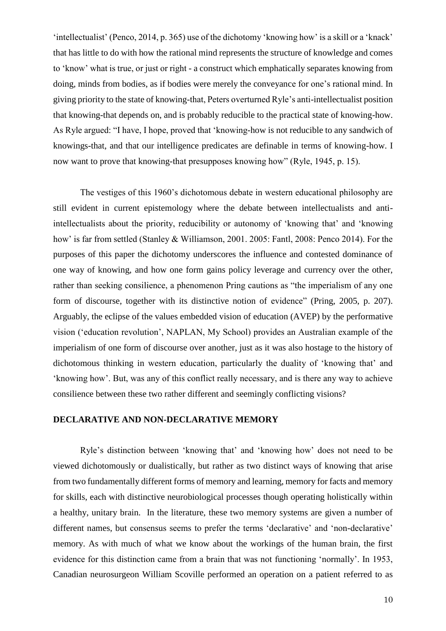'intellectualist' (Penco, 2014, p. 365) use of the dichotomy 'knowing how' is a skill or a 'knack' that has little to do with how the rational mind represents the structure of knowledge and comes to 'know' what is true, or just or right - a construct which emphatically separates knowing from doing, minds from bodies, as if bodies were merely the conveyance for one's rational mind. In giving priority to the state of knowing-that, Peters overturned Ryle's anti-intellectualist position that knowing-that depends on, and is probably reducible to the practical state of knowing-how. As Ryle argued: "I have, I hope, proved that 'knowing-how is not reducible to any sandwich of knowings-that, and that our intelligence predicates are definable in terms of knowing-how. I now want to prove that knowing-that presupposes knowing how" (Ryle, 1945, p. 15).

The vestiges of this 1960's dichotomous debate in western educational philosophy are still evident in current epistemology where the debate between intellectualists and antiintellectualists about the priority, reducibility or autonomy of 'knowing that' and 'knowing how' is far from settled (Stanley & Williamson, 2001. 2005: Fantl, 2008: Penco 2014). For the purposes of this paper the dichotomy underscores the influence and contested dominance of one way of knowing, and how one form gains policy leverage and currency over the other, rather than seeking consilience, a phenomenon Pring cautions as "the imperialism of any one form of discourse, together with its distinctive notion of evidence" (Pring, 2005, p. 207). Arguably, the eclipse of the values embedded vision of education (AVEP) by the performative vision ('education revolution', NAPLAN, My School) provides an Australian example of the imperialism of one form of discourse over another, just as it was also hostage to the history of dichotomous thinking in western education, particularly the duality of 'knowing that' and 'knowing how'. But, was any of this conflict really necessary, and is there any way to achieve consilience between these two rather different and seemingly conflicting visions?

## **DECLARATIVE AND NON-DECLARATIVE MEMORY**

Ryle's distinction between 'knowing that' and 'knowing how' does not need to be viewed dichotomously or dualistically, but rather as two distinct ways of knowing that arise from two fundamentally different forms of memory and learning, memory for facts and memory for skills, each with distinctive neurobiological processes though operating holistically within a healthy, unitary brain. In the literature, these two memory systems are given a number of different names, but consensus seems to prefer the terms 'declarative' and 'non-declarative' memory. As with much of what we know about the workings of the human brain, the first evidence for this distinction came from a brain that was not functioning 'normally'. In 1953, Canadian neurosurgeon William Scoville performed an operation on a patient referred to as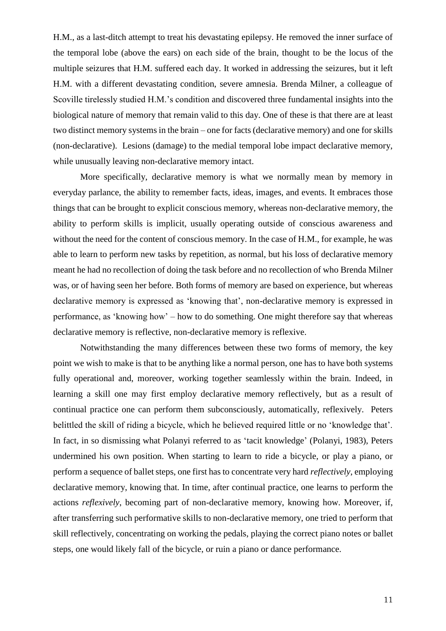H.M., as a last-ditch attempt to treat his devastating epilepsy. He removed the inner surface of the temporal lobe (above the ears) on each side of the brain, thought to be the locus of the multiple seizures that H.M. suffered each day. It worked in addressing the seizures, but it left H.M. with a different devastating condition, severe amnesia. Brenda Milner, a colleague of Scoville tirelessly studied H.M.'s condition and discovered three fundamental insights into the biological nature of memory that remain valid to this day. One of these is that there are at least two distinct memory systems in the brain – one for facts (declarative memory) and one for skills (non-declarative). Lesions (damage) to the medial temporal lobe impact declarative memory, while unusually leaving non-declarative memory intact.

More specifically, declarative memory is what we normally mean by memory in everyday parlance, the ability to remember facts, ideas, images, and events. It embraces those things that can be brought to explicit conscious memory, whereas non-declarative memory, the ability to perform skills is implicit, usually operating outside of conscious awareness and without the need for the content of conscious memory. In the case of H.M., for example, he was able to learn to perform new tasks by repetition, as normal, but his loss of declarative memory meant he had no recollection of doing the task before and no recollection of who Brenda Milner was, or of having seen her before. Both forms of memory are based on experience, but whereas declarative memory is expressed as 'knowing that', non-declarative memory is expressed in performance, as 'knowing how' – how to do something. One might therefore say that whereas declarative memory is reflective, non-declarative memory is reflexive.

Notwithstanding the many differences between these two forms of memory, the key point we wish to make is that to be anything like a normal person, one has to have both systems fully operational and, moreover, working together seamlessly within the brain. Indeed, in learning a skill one may first employ declarative memory reflectively, but as a result of continual practice one can perform them subconsciously, automatically, reflexively. Peters belittled the skill of riding a bicycle, which he believed required little or no 'knowledge that'. In fact, in so dismissing what Polanyi referred to as 'tacit knowledge' (Polanyi, 1983), Peters undermined his own position. When starting to learn to ride a bicycle, or play a piano, or perform a sequence of ballet steps, one first has to concentrate very hard *reflectively*, employing declarative memory, knowing that. In time, after continual practice, one learns to perform the actions *reflexively*, becoming part of non-declarative memory, knowing how. Moreover, if, after transferring such performative skills to non-declarative memory, one tried to perform that skill reflectively, concentrating on working the pedals, playing the correct piano notes or ballet steps, one would likely fall of the bicycle, or ruin a piano or dance performance.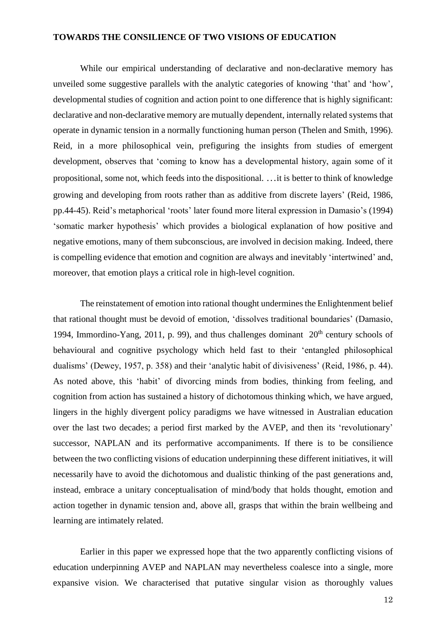# **TOWARDS THE CONSILIENCE OF TWO VISIONS OF EDUCATION**

While our empirical understanding of declarative and non-declarative memory has unveiled some suggestive parallels with the analytic categories of knowing 'that' and 'how', developmental studies of cognition and action point to one difference that is highly significant: declarative and non-declarative memory are mutually dependent, internally related systems that operate in dynamic tension in a normally functioning human person (Thelen and Smith, 1996). Reid, in a more philosophical vein, prefiguring the insights from studies of emergent development, observes that 'coming to know has a developmental history, again some of it propositional, some not, which feeds into the dispositional. …it is better to think of knowledge growing and developing from roots rather than as additive from discrete layers' (Reid, 1986, pp.44-45). Reid's metaphorical 'roots' later found more literal expression in Damasio's (1994) 'somatic marker hypothesis' which provides a biological explanation of how positive and negative emotions, many of them subconscious, are involved in decision making. Indeed, there is compelling evidence that emotion and cognition are always and inevitably 'intertwined' and, moreover, that emotion plays a critical role in high-level cognition.

The reinstatement of emotion into rational thought undermines the Enlightenment belief that rational thought must be devoid of emotion, 'dissolves traditional boundaries' (Damasio, 1994, Immordino-Yang, 2011, p. 99), and thus challenges dominant  $20<sup>th</sup>$  century schools of behavioural and cognitive psychology which held fast to their 'entangled philosophical dualisms' (Dewey, 1957, p. 358) and their 'analytic habit of divisiveness' (Reid, 1986, p. 44). As noted above, this 'habit' of divorcing minds from bodies, thinking from feeling, and cognition from action has sustained a history of dichotomous thinking which, we have argued, lingers in the highly divergent policy paradigms we have witnessed in Australian education over the last two decades; a period first marked by the AVEP, and then its 'revolutionary' successor, NAPLAN and its performative accompaniments. If there is to be consilience between the two conflicting visions of education underpinning these different initiatives, it will necessarily have to avoid the dichotomous and dualistic thinking of the past generations and, instead, embrace a unitary conceptualisation of mind/body that holds thought, emotion and action together in dynamic tension and, above all, grasps that within the brain wellbeing and learning are intimately related.

Earlier in this paper we expressed hope that the two apparently conflicting visions of education underpinning AVEP and NAPLAN may nevertheless coalesce into a single, more expansive vision. We characterised that putative singular vision as thoroughly values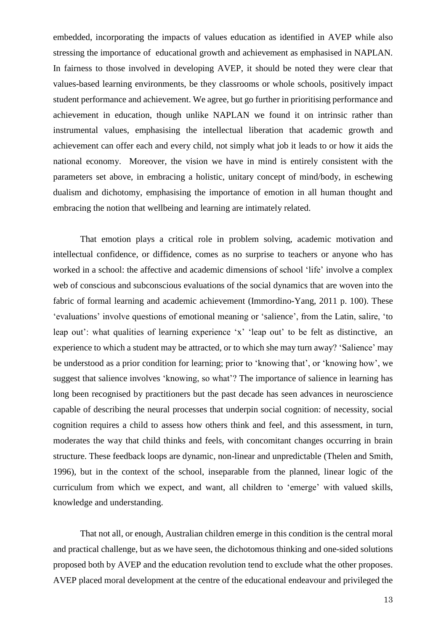embedded, incorporating the impacts of values education as identified in AVEP while also stressing the importance of educational growth and achievement as emphasised in NAPLAN. In fairness to those involved in developing AVEP, it should be noted they were clear that values-based learning environments, be they classrooms or whole schools, positively impact student performance and achievement. We agree, but go further in prioritising performance and achievement in education, though unlike NAPLAN we found it on intrinsic rather than instrumental values, emphasising the intellectual liberation that academic growth and achievement can offer each and every child, not simply what job it leads to or how it aids the national economy. Moreover, the vision we have in mind is entirely consistent with the parameters set above, in embracing a holistic, unitary concept of mind/body, in eschewing dualism and dichotomy, emphasising the importance of emotion in all human thought and embracing the notion that wellbeing and learning are intimately related.

That emotion plays a critical role in problem solving, academic motivation and intellectual confidence, or diffidence, comes as no surprise to teachers or anyone who has worked in a school: the affective and academic dimensions of school 'life' involve a complex web of conscious and subconscious evaluations of the social dynamics that are woven into the fabric of formal learning and academic achievement (Immordino-Yang, 2011 p. 100). These 'evaluations' involve questions of emotional meaning or 'salience', from the Latin, salire, 'to leap out': what qualities of learning experience 'x' 'leap out' to be felt as distinctive, an experience to which a student may be attracted, or to which she may turn away? 'Salience' may be understood as a prior condition for learning; prior to 'knowing that', or 'knowing how', we suggest that salience involves 'knowing, so what'? The importance of salience in learning has long been recognised by practitioners but the past decade has seen advances in neuroscience capable of describing the neural processes that underpin social cognition: of necessity, social cognition requires a child to assess how others think and feel, and this assessment, in turn, moderates the way that child thinks and feels, with concomitant changes occurring in brain structure. These feedback loops are dynamic, non-linear and unpredictable (Thelen and Smith, 1996), but in the context of the school, inseparable from the planned, linear logic of the curriculum from which we expect, and want, all children to 'emerge' with valued skills, knowledge and understanding.

That not all, or enough, Australian children emerge in this condition is the central moral and practical challenge, but as we have seen, the dichotomous thinking and one-sided solutions proposed both by AVEP and the education revolution tend to exclude what the other proposes. AVEP placed moral development at the centre of the educational endeavour and privileged the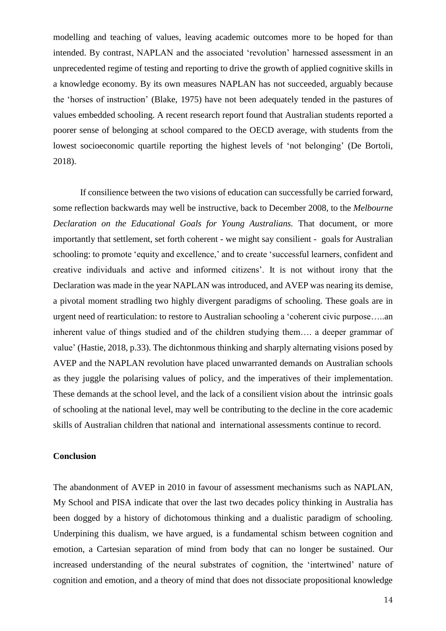modelling and teaching of values, leaving academic outcomes more to be hoped for than intended. By contrast, NAPLAN and the associated 'revolution' harnessed assessment in an unprecedented regime of testing and reporting to drive the growth of applied cognitive skills in a knowledge economy. By its own measures NAPLAN has not succeeded, arguably because the 'horses of instruction' (Blake, 1975) have not been adequately tended in the pastures of values embedded schooling. A recent research report found that Australian students reported a poorer sense of belonging at school compared to the OECD average, with students from the lowest socioeconomic quartile reporting the highest levels of 'not belonging' (De Bortoli, 2018).

If consilience between the two visions of education can successfully be carried forward, some reflection backwards may well be instructive, back to December 2008, to the *Melbourne Declaration on the Educational Goals for Young Australians.* That document, or more importantly that settlement, set forth coherent - we might say consilient - goals for Australian schooling: to promote 'equity and excellence,' and to create 'successful learners, confident and creative individuals and active and informed citizens'. It is not without irony that the Declaration was made in the year NAPLAN was introduced, and AVEP was nearing its demise, a pivotal moment stradling two highly divergent paradigms of schooling. These goals are in urgent need of rearticulation: to restore to Australian schooling a 'coherent civic purpose…..an inherent value of things studied and of the children studying them…. a deeper grammar of value' (Hastie, 2018, p.33). The dichtonmous thinking and sharply alternating visions posed by AVEP and the NAPLAN revolution have placed unwarranted demands on Australian schools as they juggle the polarising values of policy, and the imperatives of their implementation. These demands at the school level, and the lack of a consilient vision about the intrinsic goals of schooling at the national level, may well be contributing to the decline in the core academic skills of Australian children that national and international assessments continue to record.

#### **Conclusion**

The abandonment of AVEP in 2010 in favour of assessment mechanisms such as NAPLAN, My School and PISA indicate that over the last two decades policy thinking in Australia has been dogged by a history of dichotomous thinking and a dualistic paradigm of schooling. Underpining this dualism, we have argued, is a fundamental schism between cognition and emotion, a Cartesian separation of mind from body that can no longer be sustained. Our increased understanding of the neural substrates of cognition, the 'intertwined' nature of cognition and emotion, and a theory of mind that does not dissociate propositional knowledge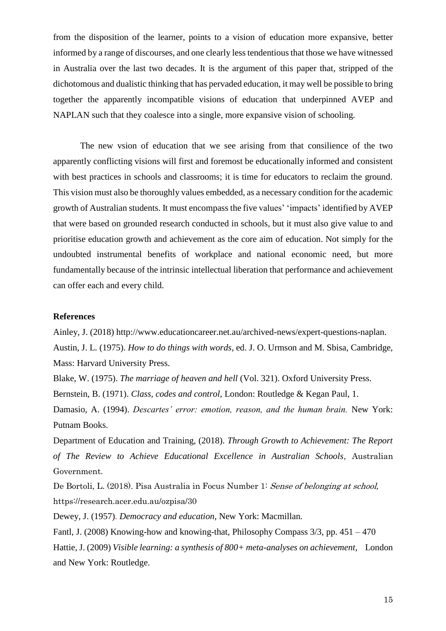from the disposition of the learner, points to a vision of education more expansive, better informed by a range of discourses, and one clearly less tendentious that those we have witnessed in Australia over the last two decades. It is the argument of this paper that, stripped of the dichotomous and dualistic thinking that has pervaded education, it may well be possible to bring together the apparently incompatible visions of education that underpinned AVEP and NAPLAN such that they coalesce into a single, more expansive vision of schooling.

The new vsion of education that we see arising from that consilience of the two apparently conflicting visions will first and foremost be educationally informed and consistent with best practices in schools and classrooms; it is time for educators to reclaim the ground. This vision must also be thoroughly values embedded, as a necessary condition for the academic growth of Australian students. It must encompass the five values' 'impacts' identified by AVEP that were based on grounded research conducted in schools, but it must also give value to and prioritise education growth and achievement as the core aim of education. Not simply for the undoubted instrumental benefits of workplace and national economic need, but more fundamentally because of the intrinsic intellectual liberation that performance and achievement can offer each and every child.

# **References**

Ainley, J. (2018) http://www.educationcareer.net.au/archived-news/expert-questions-naplan. Austin, J. L. (1975). *How to do things with words*, ed. J. O. Urmson and M. Sbisa, Cambridge, Mass: Harvard University Press.

Blake, W. (1975). *The marriage of heaven and hell* (Vol. 321). Oxford University Press.

Bernstein, B. (1971). *Class, codes and control*, London: Routledge & Kegan Paul, 1.

Damasio, A. (1994). *Descartes' error: emotion, reason, and the human brain.* New York: Putnam Books.

Department of Education and Training, (2018). *Through Growth to Achievement: The Report of The Review to Achieve Educational Excellence in Australian Schools*, Australian Government.

De Bortoli, L. (2018). Pisa Australia in Focus Number 1: Sense of belonging at school, https://research.acer.edu.au/ozpisa/30

Dewey, J. (1957). *Democracy and education*, New York: Macmillan*.*

Fantl, J. (2008) Knowing-how and knowing-that, Philosophy Compass  $3/3$ , pp.  $451 - 470$ Hattie, J. (2009) *Visible learning: a synthesis of 800+ meta-analyses on achievement,* London and New York: Routledge.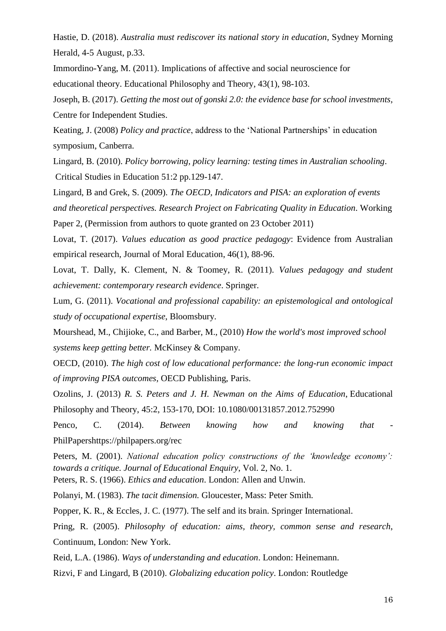Hastie, D. (2018). *Australia must rediscover its national story in education*, Sydney Morning Herald, 4-5 August, p.33.

Immordino-Yang, M. (2011). Implications of affective and social neuroscience for educational theory. Educational Philosophy and Theory, 43(1), 98-103.

Joseph, B. (2017). *Getting the most out of gonski 2.0: the evidence base for school investments,* Centre for Independent Studies.

Keating, J. (2008) *Policy and practice*, address to the 'National Partnerships' in education symposium, Canberra.

Lingard, B. (2010). *Policy borrowing, policy learning: testing times in Australian schooling*. Critical Studies in Education 51:2 pp.129-147.

Lingard, B and Grek, S. (2009). *The OECD, Indicators and PISA: an exploration of events and theoretical perspectives. Research Project on Fabricating Quality in Education*. Working Paper 2, (Permission from authors to quote granted on 23 October 2011)

Lovat, T. (2017). *Values education as good practice pedagogy*: Evidence from Australian empirical research, Journal of Moral Education, 46(1), 88-96.

Lovat, T. Dally, K. Clement, N. & Toomey, R. (2011). *Values pedagogy and student achievement: contemporary research evidence*. Springer.

Lum, G. (2011). *Vocational and professional capability: an epistemological and ontological study of occupational expertise*, Bloomsbury.

Mourshead, M., Chijioke, C., and Barber, M., (2010) *How the world's most improved school systems keep getting better.* McKinsey & Company.

OECD, (2010). *The high cost of low educational performance: the long-run economic impact of improving PISA outcomes*, OECD Publishing, Paris.

Ozolins, J. (2013) *R. S. Peters and J. H. Newman on the Aims of Education*, Educational Philosophy and Theory, 45:2, 153-170, DOI: [10.1080/00131857.2012.752990](https://doi.org/10.1080/00131857.2012.752990)

Penco, C. (2014). *Between [knowing how and knowing that](https://philpapers.org/rec/PENBKH)* - [PhilPapersh](https://philpapers.org/rec/PENBKH)ttps://philpapers.org/rec

Peters, M. (2001). *National education policy constructions of the 'knowledge economy': towards a critique. Journal of Educational Enquiry*, Vol. 2, No. 1. Peters, R. S. (1966). *Ethics and education*. London: Allen and Unwin.

Polanyi, M. (1983). *The tacit dimension.* Gloucester, Mass: Peter Smith.

Popper, K. R., & Eccles, J. C. (1977). The self and its brain. Springer International.

Pring, R. (2005). *Philosophy of education: aims, theory, common sense and research*, Continuum, London: New York.

Reid, L.A. (1986). *Ways of understanding and education*. London: Heinemann.

Rizvi, F and Lingard, B (2010). *Globalizing education policy*. London: Routledge